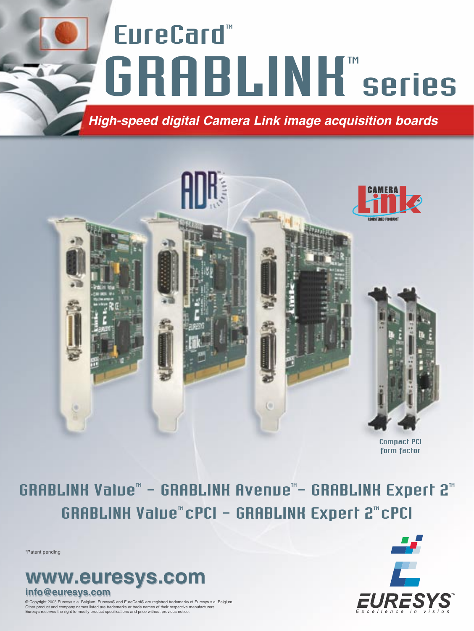# EureCard"<br>GRABLINK series EureCard" *High-speed digital Camera Link image acquisition boards*



GRABLINK Value™ - GRABLINK Avenue™- GRABLINK Expert 2™ GRABLINK Value" CPCI - GRABLINK Expert 2" CPCI

\*Patent pending



© Copyright 2005 Euresys s.a. Belgium. Euresys® and EureCard® are registred trademarks of Euresys s.a. Belgium. Other product and company names listed are trademarks or trade names of their respective manufacturers. Euresys reserves the right to modify product specifications and price without previous notice.

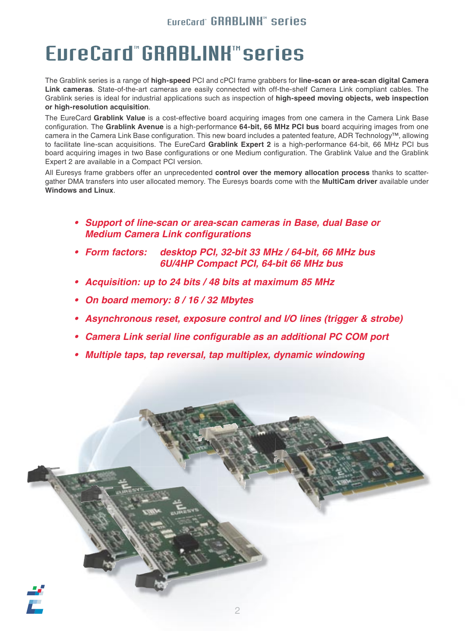### **EureCard® GRABLINK® series**

### FureCard" GRABLINK" series

The Grablink series is a range of **high-speed** PCI and cPCI frame grabbers for **line-scan or area-scan digital Camera Link cameras**. State-of-the-art cameras are easily connected with off-the-shelf Camera Link compliant cables. The Grablink series is ideal for industrial applications such as inspection of **high-speed moving objects, web inspection or high-resolution acquisition**.

The EureCard **Grablink Value** is a cost-effective board acquiring images from one camera in the Camera Link Base configuration. The **Grablink Avenue** is a high-performance **64-bit, 66 MHz PCI bus** board acquiring images from one camera in the Camera Link Base configuration. This new board includes a patented feature, ADR Technology™, allowing to facilitate line-scan acquisitions. The EureCard **Grablink Expert 2** is a high-performance 64-bit, 66 MHz PCI bus board acquiring images in two Base configurations or one Medium configuration. The Grablink Value and the Grablink Expert 2 are available in a Compact PCI version.

All Euresys frame grabbers offer an unprecedented **control over the memory allocation process** thanks to scattergather DMA transfers into user allocated memory. The Euresys boards come with the **MultiCam driver** available under **Windows and Linux**.

- *• Support of line-scan or area-scan cameras in Base, dual Base or Medium Camera Link configurations*
- *• Form factors: desktop PCI, 32-bit 33 MHz / 64-bit, 66 MHz bus 6U/4HP Compact PCI, 64-bit 66 MHz bus*
- *• Acquisition: up to 24 bits / 48 bits at maximum 85 MHz*
- *• On board memory: 8 / 16 / 32 Mbytes*
- *• Asynchronous reset, exposure control and I/O lines (trigger & strobe)*
- *• Camera Link serial line configurable as an additional PC COM port*
- *• Multiple taps, tap reversal, tap multiplex, dynamic windowing*

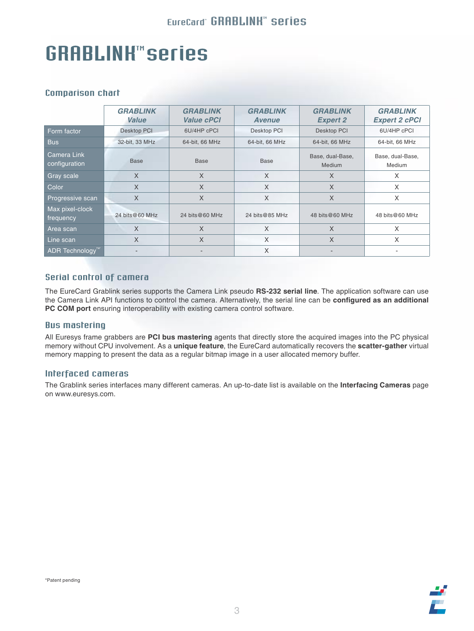## GRABLINK™ series

#### Comparison chart

|                              | <b>GRABLINK</b><br>Value | <b>GRABLINK</b><br><b>Value cPCI</b> | <b>GRABLINK</b><br><b>Avenue</b> | <b>GRABLINK</b><br><b>Expert 2</b> | <b>GRABLINK</b><br><b>Expert 2 cPCI</b> |  |
|------------------------------|--------------------------|--------------------------------------|----------------------------------|------------------------------------|-----------------------------------------|--|
| Form factor                  | <b>Desktop PCI</b>       | 6U/4HP cPCI                          | Desktop PCI                      | <b>Desktop PCI</b>                 | 6U/4HP cPCI                             |  |
| <b>Bus</b>                   | 32-bit, 33 MHz           | 64-bit, 66 MHz                       | 64-bit, 66 MHz                   | 64-bit, 66 MHz                     | 64-bit, 66 MHz                          |  |
| Camera Link<br>configuration | <b>Base</b>              | <b>Base</b>                          | <b>Base</b>                      | Base, dual-Base,<br>Medium         | Base, dual-Base,<br>Medium              |  |
| Gray scale                   | $\times$                 | $\chi$                               | $\times$                         | $\times$                           | X                                       |  |
| Color                        | $\times$                 | X                                    | X                                | $\times$                           | X                                       |  |
| Progressive scan             | $\times$                 | X                                    | X                                | $\times$                           | X                                       |  |
| Max pixel-clock<br>frequency | 24 bits@60 MHz           | 24 bits@60 MHz                       | 24 bits@85 MHz                   | 48 bits@60 MHz                     | 48 bits@60 MHz                          |  |
| Area scan                    | X                        | X                                    | X                                | $\times$                           | X                                       |  |
| Line scan                    | X                        | X                                    | X                                | $\times$                           | X                                       |  |
| ADR Technology <sup>TM</sup> |                          |                                      | X                                |                                    |                                         |  |

#### Serial control of camera

The EureCard Grablink series supports the Camera Link pseudo **RS-232 serial line**. The application software can use the Camera Link API functions to control the camera. Alternatively, the serial line can be **configured as an additional PC COM port** ensuring interoperability with existing camera control software.

#### Bus mastering

All Euresys frame grabbers are **PCI bus mastering** agents that directly store the acquired images into the PC physical memory without CPU involvement. As a **unique feature**, the EureCard automatically recovers the **scatter-gather** virtual memory mapping to present the data as a regular bitmap image in a user allocated memory buffer.

#### Interfaced cameras

The Grablink series interfaces many different cameras. An up-to-date list is available on the **Interfacing Cameras** page on www.euresys.com.

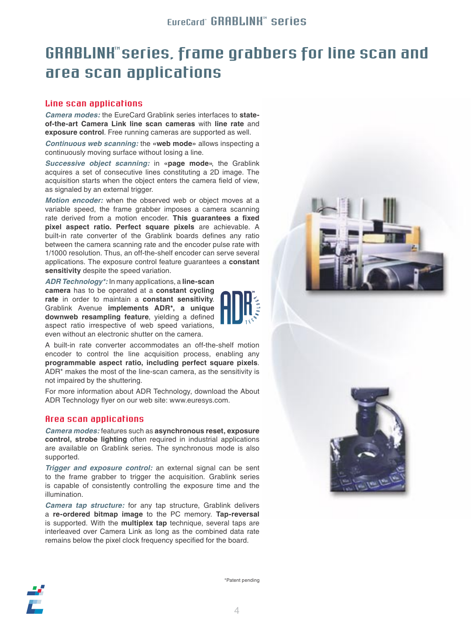### **GRABLINK"** series, frame grabbers for line scan and area scan applications

#### Line scan applications

*Camera modes:* the EureCard Grablink series interfaces to **stateof-the-art Camera Link line scan cameras** with **line rate** and **exposure control**. Free running cameras are supported as well.

*Continuous web scanning:* the **«web mode»** allows inspecting a continuously moving surface without losing a line.

*Successive object scanning:* in **«page mode»**, the Grablink acquires a set of consecutive lines constituting a 2D image. The acquisition starts when the object enters the camera field of view, as signaled by an external trigger.

*Motion encoder:* when the observed web or object moves at a variable speed, the frame grabber imposes a camera scanning rate derived from a motion encoder. **This guarantees a fixed pixel aspect ratio. Perfect square pixels** are achievable. A built-in rate converter of the Grablink boards defines any ratio between the camera scanning rate and the encoder pulse rate with 1/1000 resolution. Thus, an off-the-shelf encoder can serve several applications. The exposure control feature guarantees a **constant sensitivity** despite the speed variation.

*ADR Technology\*:* In many applications, a **line-scan camera** has to be operated at a **constant cycling rate** in order to maintain a **constant sensitivity**. Grablink Avenue **implements ADR\*, a unique downweb resampling feature**, yielding a defined aspect ratio irrespective of web speed variations, even without an electronic shutter on the camera.

A built-in rate converter accommodates an off-the-shelf motion encoder to control the line acquisition process, enabling any **programmable aspect ratio, including perfect square pixels**. ADR\* makes the most of the line-scan camera, as the sensitivity is not impaired by the shuttering.

For more information about ADR Technology, download the About ADR Technology flyer on our web site: www.euresys.com.

#### Area scan applications

*Camera modes:* features such as **asynchronous reset, exposure control, strobe lighting** often required in industrial applications are available on Grablink series. The synchronous mode is also supported.

*Trigger and exposure control:* an external signal can be sent to the frame grabber to trigger the acquisition. Grablink series is capable of consistently controlling the exposure time and the illumination.

*Camera tap structure:* for any tap structure, Grablink delivers a **re-ordered bitmap image** to the PC memory. **Tap-reversal**  is supported. With the **multiplex tap** technique, several taps are interleaved over Camera Link as long as the combined data rate remains below the pixel clock frequency specified for the board.







\*Patent pending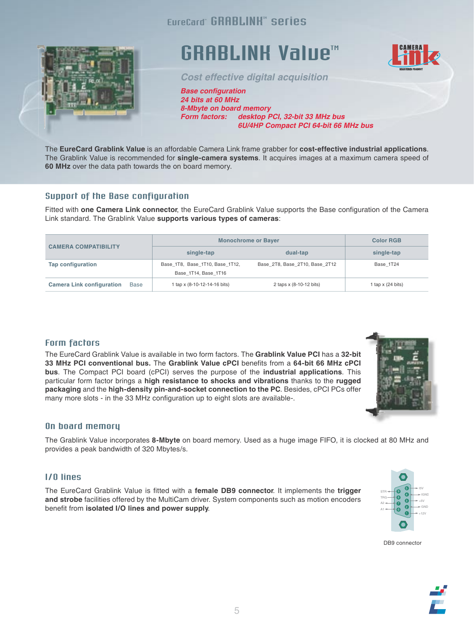

### **GRABLINK Value™**

EureCard" GRABLINH<sup>"</sup> series

*Cost effective digital acquisition*

*Base configuration 24 bits at 60 MHz 8-Mbyte on board memory Form factors: desktop PCI, 32-bit 33 MHz bus 6U/4HP Compact PCI 64-bit 66 MHz bus*

The **EureCard Grablink Value** is an affordable Camera Link frame grabber for **cost-effective industrial applications**. The Grablink Value is recommended for **single-camera systems**. It acquires images at a maximum camera speed of **60 MHz** over the data path towards the on board memory.

#### Support of the Base configuration

Fitted with **one Camera Link connector**, the EureCard Grablink Value supports the Base configuration of the Camera Link standard. The Grablink Value **supports various types of cameras**:

|                                                 | <b>Monochrome or Bayer</b>                              | <b>Color RGB</b>               |                     |
|-------------------------------------------------|---------------------------------------------------------|--------------------------------|---------------------|
| <b>CAMERA COMPATIBILITY</b>                     | single-tap                                              | dual-tap                       | single-tap          |
| Tap configuration                               | Base 1T8, Base 1T10, Base 1T12,<br>Base 1T14, Base 1T16 | Base 2T8, Base 2T10, Base 2T12 | Base 1T24           |
| <b>Camera Link configuration</b><br><b>Base</b> | 1 tap x (8-10-12-14-16 bits)                            | 2 taps x (8-10-12 bits)        | 1 tap $x$ (24 bits) |

#### Form factors

The EureCard Grablink Value is available in two form factors. The **Grablink Value PCI** has a **32-bit 33 MHz PCI conventional bus.** The **Grablink Value cPCI** benefits from a **64-bit 66 MHz cPCI bus**. The Compact PCI board (cPCI) serves the purpose of the **industrial applications**. This particular form factor brings a **high resistance to shocks and vibrations** thanks to the **rugged packaging** and the **high-density pin-and-socket connection to the PC**. Besides, cPCI PCs offer many more slots - in the 33 MHz configuration up to eight slots are available-.

#### On board memory

The Grablink Value incorporates **8-Mbyte** on board memory. Used as a huge image FIFO, it is clocked at 80 MHz and provides a peak bandwidth of 320 Mbytes/s.

#### I/O lines

The EureCard Grablink Value is fitted with a **female DB9 connector**. It implements the **trigger and strobe** facilities offered by the MultiCam driver. System components such as motion encoders benefit from **isolated I/O lines and power supply**.





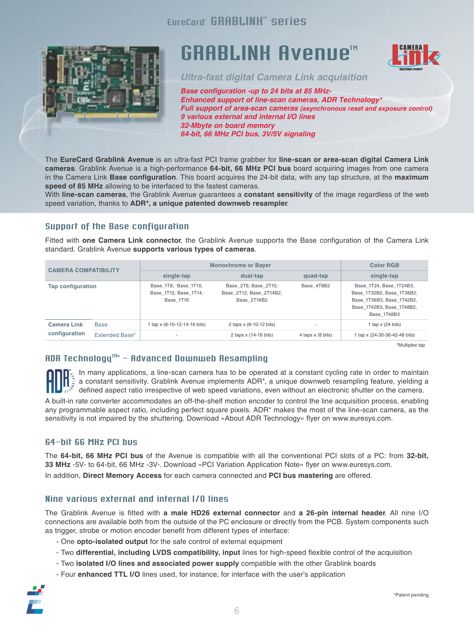#### EureCard" GRABLINH" series



### **GRABLINK Avenue™**



*Ultra-fast digital Camera Link acquisition*

*Base configuration -up to 24 bits at 85 MHz-Enhanced support of line-scan cameras, ADR Technology\* Full support of area-scan cameras (asynchronous reset and exposure control) 9 various external and internal I/O lines 32-Mbyte on board memory 64-bit, 66 MHz PCI bus, 3V/5V signaling*

The **EureCard Grablink Avenue** is an ultra-fast PCI frame grabber for **line-scan or area-scan digital Camera Link cameras**. Grablink Avenue is a high-performance **64-bit, 66 MHz PCI bus** board acquiring images from one camera in the Camera Link **Base configuration**. This board acquires the 24-bit data, with any tap structure, at the **maximum speed of 85 MHz** allowing to be interfaced to the fastest cameras.

With **line-scan cameras**, the Grablink Avenue guarantees a **constant sensitivity** of the image regardless of the web speed variation, thanks to **ADR\*, a unique patented downweb resampler**.

#### Support of the Base configuration

Fitted with **one Camera Link connector**, the Grablink Avenue supports the Base configuration of the Camera Link standard. Grablink Avenue **supports various types of cameras**.

| <b>CAMERA COMPATIBILITY</b>         |                | <b>Monochrome or Bayer</b>                                 | <b>Color RGB</b>                                               |                     |                                                                                                                               |
|-------------------------------------|----------------|------------------------------------------------------------|----------------------------------------------------------------|---------------------|-------------------------------------------------------------------------------------------------------------------------------|
|                                     |                | single-tap                                                 | dual-tap                                                       | quad-tap            | single-tap                                                                                                                    |
| Tap configuration                   |                | Base 1T8, Base 1T10,<br>Base 1T12, Base 1T14.<br>Base 1T16 | Base 2T8, Base 2T10,<br>Base 2T12, Base 2T14B2,<br>Base 2T16B2 | Base 4T8B2          | Base 1T24, Base_1T24B3,<br>Base 1T30B2, Base 1T36B2,<br>Base 1T36B3, Base 1T42B2,<br>Base 1T42B3, Base 1T48B2.<br>Base 1T48B3 |
| <b>Camera Link</b><br>configuration | <b>Base</b>    | 1 tap x (8-10-12-14-16 bits)                               | 2 taps x (8-10-12 bits)                                        |                     | 1 tap $x$ (24 bits)                                                                                                           |
|                                     | Extended Base* | $\overline{\phantom{a}}$                                   | 2 taps x (14-16 bits)                                          | 4 taps $x$ (8 bits) | 1 tap x (24-30-36-42-48 bits)                                                                                                 |

\*Multiplex tap

#### $A$ DR Technology $M^*$  - Advanced Downweb Resampling \* - Advanced Downweb Resampling

In many applications, a line-scan camera has to be operated at a constant cycling rate in order to maintain a constant sensitivity. Grablink Avenue implements ADR\*, a unique downweb resampling feature, yielding a defined aspect ratio irrespective of web speed variations, even without an electronic shutter on the camera.

A built-in rate converter accommodates an off-the-shelf motion encoder to control the line acquisition process, enabling any programmable aspect ratio, including perfect square pixels. ADR\* makes the most of the line-scan camera, as the sensitivity is not impaired by the shuttering. Download «About ADR Technology» flyer on www.euresys.com.

#### 64-bit 66 MHz PCI bus

The **64-bit, 66 MHz PCI bus** of the Avenue is compatible with all the conventional PCI slots of a PC: from **32-bit, 33 MHz** -5V- to 64-bit, 66 MHz -3V-. Download «PCI Variation Application Note» flyer on www.euresys.com. In addition, **Direct Memory Access** for each camera connected and **PCI bus mastering** are offered.

#### Nine various external and internal I/O lines

The Grablink Avenue is fitted with **a male HD26 external connector** and **a 26-pin internal header**. All nine I/O connections are available both from the outside of the PC enclosure or directly from the PCB. System components such as trigger, strobe or motion encoder benefit from different types of interface:

- One **opto-isolated output** for the safe control of external equipment
- Two **differential, including LVDS compatibility, input** lines for high-speed flexible control of the acquisition
- Two **isolated I/O lines and associated power supply** compatible with the other Grablink boards
- Four **enhanced TTL I/O** lines used, for instance, for interface with the user's application

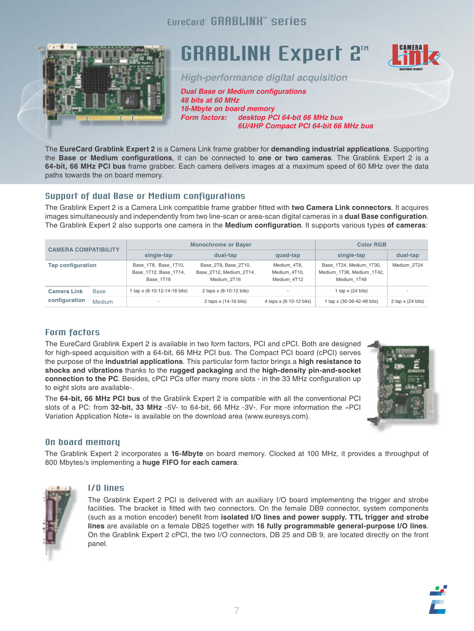#### EureCard" GRABLINH" series



### **GRABLINK Expert 2<sup>m</sup>**



*High-performance digital acquisition*

*Dual Base or Medium configurations 48 bits at 60 MHz 16-Mbyte on board memory Form factors: desktop PCI 64-bit 66 MHz bus 6U/4HP Compact PCI 64-bit 66 MHz bus*

The **EureCard Grablink Expert 2** is a Camera Link frame grabber for **demanding industrial applications**. Supporting the **Base or Medium configurations**, it can be connected to **one or two cameras**. The Grablink Expert 2 is a **64-bit, 66 MHz PCI bus** frame grabber. Each camera delivers images at a maximum speed of 60 MHz over the data paths towards the on board memory.

#### Support of dual Base or Medium configurations

The Grablink Expert 2 is a Camera Link compatible frame grabber fitted with **two Camera Link connectors**. It acquires images simultaneously and independently from two line-scan or area-scan digital cameras in a **dual Base configuration**. The Grablink Expert 2 also supports one camera in the **Medium configuration**. It supports various types **of cameras**:

| <b>CAMERA COMPATIBILITY</b> |               | <b>Monochrome or Bayer</b>                                 |                                                                |                                            | <b>Color RGB</b>                                                    |                          |
|-----------------------------|---------------|------------------------------------------------------------|----------------------------------------------------------------|--------------------------------------------|---------------------------------------------------------------------|--------------------------|
|                             |               | single-tap                                                 | dual-tap                                                       | quad-tap                                   | single-tap                                                          | dual-tap                 |
| <b>Tap configuration</b>    |               | Base 1T8, Base 1T10,<br>Base 1T12, Base 1T14,<br>Base 1T16 | Base 2T8, Base 2T10,<br>Base 2T12, Medium 2T14,<br>Medium 2T16 | Medium 4T8,<br>Medium 4T10,<br>Medium 4T12 | Base 1T24, Medium 1T30,<br>Medium 1T36, Medium 1T42,<br>Medium 1T48 | Medium 2T24              |
| <b>Camera Link</b>          | <b>Base</b>   | 1 tap x (8-10-12-14-16 bits)                               | 2 taps x (8-10-12 bits)                                        | $\overline{\phantom{a}}$                   | 1 tap $x$ (24 bits)                                                 | $\overline{\phantom{a}}$ |
| configuration               | <b>Medium</b> |                                                            | 2 taps x (14-16 bits)                                          | 4 taps x (8-10-12 bits)                    | 1 tap x (30-36-42-48 bits)                                          | 2 tap $x$ (24 bits)      |

#### Form factors

The EureCard Grablink Expert 2 is available in two form factors, PCI and cPCI. Both are designed for high-speed acquisition with a 64-bit, 66 MHz PCI bus. The Compact PCI board (cPCI) serves the purpose of the **industrial applications**. This particular form factor brings a **high resistance to shocks and vibrations** thanks to the **rugged packaging** and the **high-density pin-and-socket connection to the PC**. Besides, cPCI PCs offer many more slots - in the 33 MHz configuration up to eight slots are available-.

The **64-bit, 66 MHz PCI bus** of the Grablink Expert 2 is compatible with all the conventional PCI slots of a PC: from **32-bit, 33 MHz** -5V- to 64-bit, 66 MHz -3V-. For more information the «PCI Variation Application Note» is available on the download area (www.euresys.com).



#### On board memory

The Grablink Expert 2 incorporates a **16-Mbyte** on board memory. Clocked at 100 MHz, it provides a throughput of 800 Mbytes/s implementing a **huge FIFO for each camera**.



#### I/O lines

The Grablink Expert 2 PCI is delivered with an auxiliary I/O board implementing the trigger and strobe facilities. The bracket is fitted with two connectors. On the female DB9 connector, system components (such as a motion encoder) benefit from **isolated I/O lines and power supply. TTL trigger and strobe lines** are available on a female DB25 together with **16 fully programmable general-purpose I/O lines**. On the Grablink Expert 2 cPCI, the two I/O connectors, DB 25 and DB 9, are located directly on the front panel.